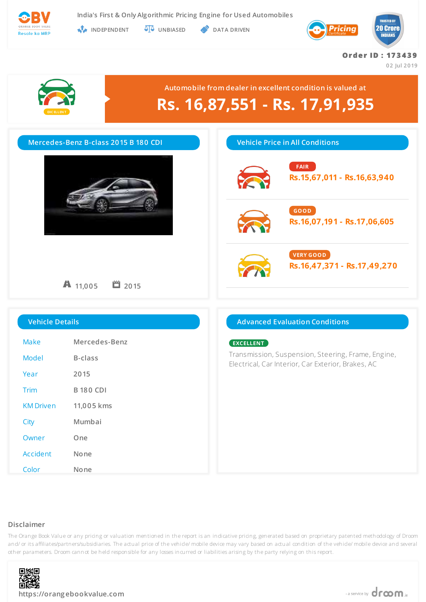

**INDEPENDENT UNBIASED DATA DRIVEN** 



# **Or de r ID : 17 3 4 3 9**

**02 Jul 2019**



# **Automobile from dealer in excellent condition is valued at Rs. 16,87,551 - Rs. 17,91,935**

| Mercedes-Benz B-class 2015 B 180 CDI |                        | <b>Vehicle Price in All Conditions</b>                                                                   |  |
|--------------------------------------|------------------------|----------------------------------------------------------------------------------------------------------|--|
|                                      |                        | <b>FAIR</b><br>Rs.15,67,011 - Rs.16,63,940                                                               |  |
|                                      |                        | GOOD<br>Rs.16,07,191 - Rs.17,06,605                                                                      |  |
|                                      | ■ 2015<br>$A_{11,005}$ | <b>VERY GOOD</b><br>Rs.16,47,371 - Rs.17,49,270                                                          |  |
| <b>Vehicle Details</b>               |                        | <b>Advanced Evaluation Conditions</b>                                                                    |  |
| Make                                 | Mercedes-Benz          | EXCELLENT                                                                                                |  |
| <b>Model</b>                         | <b>B-class</b>         | Transmission, Suspension, Steering, Frame, Engine,<br>Electrical, Car Interior, Car Exterior, Brakes, AC |  |
| Year                                 | 2015                   |                                                                                                          |  |
|                                      | <b>B 180 CDI</b>       |                                                                                                          |  |
| <b>KM Driven</b>                     | 11,005 kms             |                                                                                                          |  |
|                                      | Mumbai                 |                                                                                                          |  |
| Owner                                | One                    |                                                                                                          |  |
| Accident                             | None                   |                                                                                                          |  |

# **Disclaimer**

The Orange Book Value or any pricing or valuation mentioned in the report is an indicative pricing, generated based on proprietary patented methodology of Droom and/ or its affiliates/partners/subsidiaries. The actual price of the vehicle/ mobile device may vary based on actual condition of the vehicle/ mobile device and several other parameters. Droom cannot be held responsible for any losses incurred or liabilities arising by the party relying on this report.



Color **None**

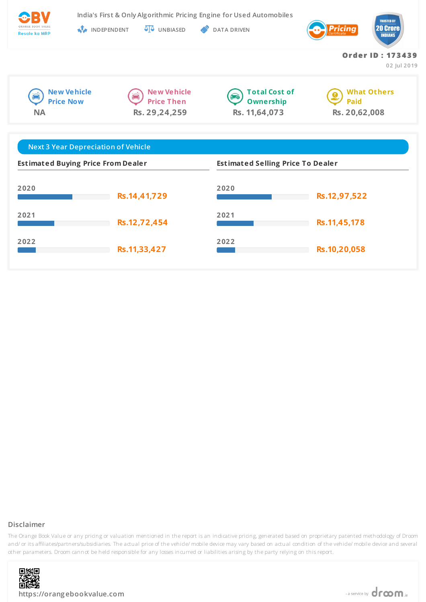| ORANGE BOOK VALUE |  |
|-------------------|--|
| Resale ka MRP     |  |

**India's First & Only Algorithmic Pricing Engine for Used Automobiles**

**INDEPENDENT UNBIASED DATA DRIVEN** 



**Or de r ID : 17 3 4 3 9**

**02 Jul 2019**







**What Others**  $\bullet$ **Paid Rs. 20,62,008**

| <b>Next 3 Year Depreciation of Vehicle</b> |              |                                          |              |  |  |  |  |
|--------------------------------------------|--------------|------------------------------------------|--------------|--|--|--|--|
| <b>Estimated Buying Price From Dealer</b>  |              | <b>Estimated Selling Price To Dealer</b> |              |  |  |  |  |
| 2020                                       | Rs.14,41,729 | 2020                                     | Rs.12,97,522 |  |  |  |  |
| 2021                                       | Rs.12,72,454 | 2021                                     | Rs.11,45,178 |  |  |  |  |
| 2022                                       | Rs.11,33,427 | 2022                                     | Rs.10,20,058 |  |  |  |  |

# **Disclaimer**



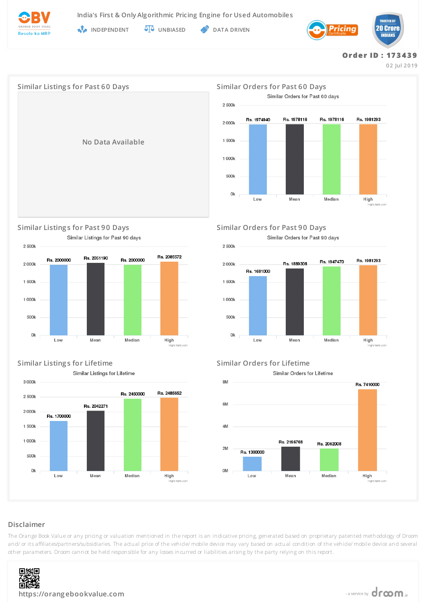

**INDEPENDENT UNBIASED DATA DRIVEN** 



# **Or de r ID : 17 3 4 3 9**

**02 Jul 2019**



**Similar Listing s for Past 90 Days Similar Orders for Past 90 Days** Similar Listings for Past 90 days



**Similar Listing s for Lifetime Similar Orders for Lifetime** Similar Listings for Lifetime



Similar Orders for Past 90 days



Similar Orders for Lifetime



# **Disclaimer**

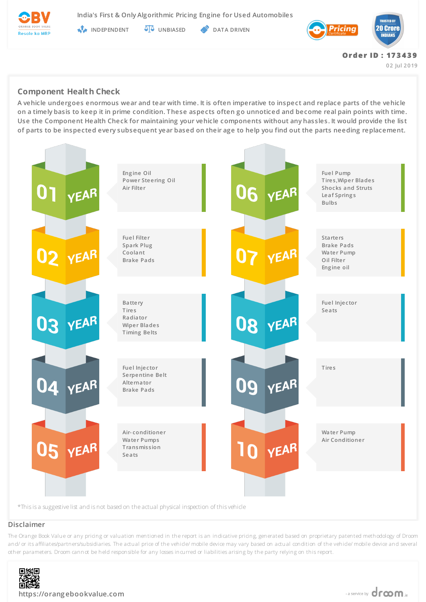

**India's First & Only Algorithmic Pricing Engine for Used Automobiles**

**INDEPENDENT AT UNBIASED PATA DRIVEN** 



**02 Jul 2019**

# **Component Health Check**

**A vehicle undergoes enormous wear and tear with time. It is often imperative to inspect and replace parts of the vehicle on a timely basis to keep it in prime condition. These aspects often go unnoticed and become real pain points with time. Use the Component Health Check for maintaining your vehicle components without any hassles. It would provide the list of parts to be inspected every subsequent year based on their age to help you find out the parts needing replacement.**



# **Disclaimer**